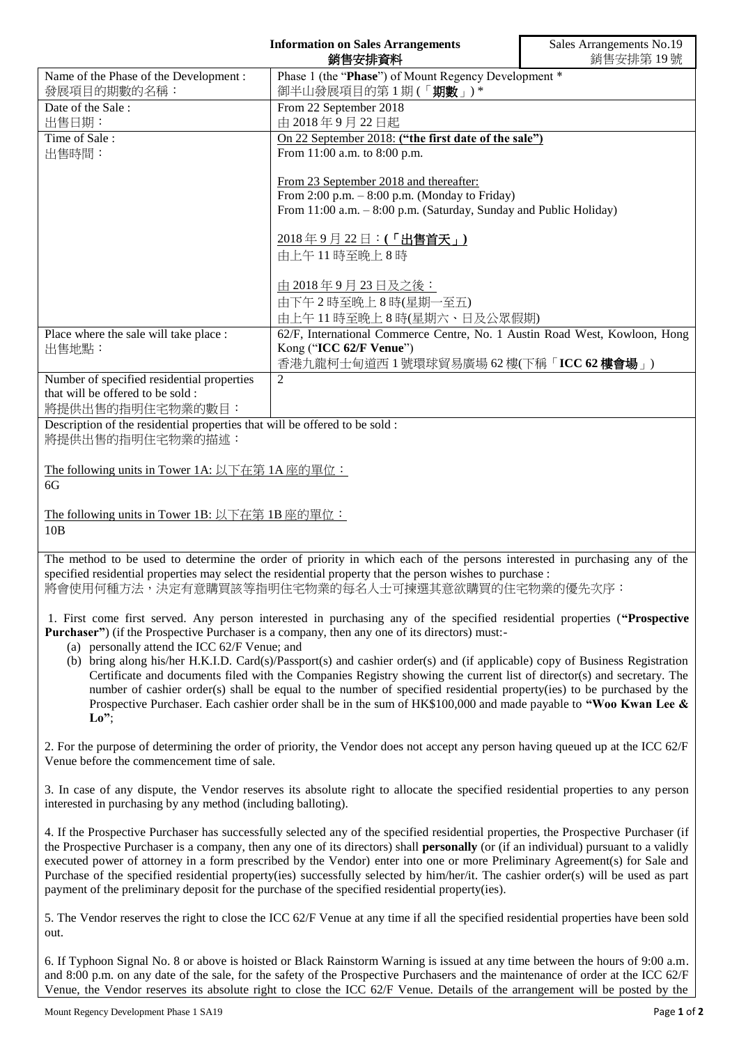|                                                                                                                                                                                                                                    | <b>Information on Sales Arrangements</b><br>銷售安排資料                                                                                                                                                                                                                                                                                                                                                                                                                                                                                                                                                                                                          | Sales Arrangements No.19<br>銷售安排第19號 |
|------------------------------------------------------------------------------------------------------------------------------------------------------------------------------------------------------------------------------------|-------------------------------------------------------------------------------------------------------------------------------------------------------------------------------------------------------------------------------------------------------------------------------------------------------------------------------------------------------------------------------------------------------------------------------------------------------------------------------------------------------------------------------------------------------------------------------------------------------------------------------------------------------------|--------------------------------------|
| Name of the Phase of the Development:<br>發展項目的期數的名稱:                                                                                                                                                                               | Phase 1 (the "Phase") of Mount Regency Development *<br>御半山發展項目的第1期(「期數」)*                                                                                                                                                                                                                                                                                                                                                                                                                                                                                                                                                                                  |                                      |
| Date of the Sale:                                                                                                                                                                                                                  | From 22 September 2018                                                                                                                                                                                                                                                                                                                                                                                                                                                                                                                                                                                                                                      |                                      |
| 出售日期:<br>Time of Sale:                                                                                                                                                                                                             | 由 2018年9月22日起<br>On 22 September 2018: ("the first date of the sale")                                                                                                                                                                                                                                                                                                                                                                                                                                                                                                                                                                                       |                                      |
| 出售時間:                                                                                                                                                                                                                              | From 11:00 a.m. to 8:00 p.m.                                                                                                                                                                                                                                                                                                                                                                                                                                                                                                                                                                                                                                |                                      |
|                                                                                                                                                                                                                                    | From 23 September 2018 and thereafter:<br>From $2:00$ p.m. $-8:00$ p.m. (Monday to Friday)<br>From 11:00 a.m. - 8:00 p.m. (Saturday, Sunday and Public Holiday)                                                                                                                                                                                                                                                                                                                                                                                                                                                                                             |                                      |
|                                                                                                                                                                                                                                    | <u> 2018年9月22日:(「出售首天」)</u><br>由上午11時至晚上8時                                                                                                                                                                                                                                                                                                                                                                                                                                                                                                                                                                                                                  |                                      |
|                                                                                                                                                                                                                                    | <u>由 2018年9月23日及之後:</u><br>由下午2時至晚上8時(星期一至五)<br>由上午11時至晚上8時(星期六、日及公眾假期)                                                                                                                                                                                                                                                                                                                                                                                                                                                                                                                                                                                     |                                      |
| Place where the sale will take place :<br>出售地點:                                                                                                                                                                                    | 62/F, International Commerce Centre, No. 1 Austin Road West, Kowloon, Hong<br>Kong ("ICC 62/F Venue")                                                                                                                                                                                                                                                                                                                                                                                                                                                                                                                                                       |                                      |
| Number of specified residential properties<br>that will be offered to be sold :<br>將提供出售的指明住宅物業的數目:                                                                                                                                | 香港九龍柯士甸道西1號環球貿易廣場 62樓(下稱「ICC 62樓會場」)<br>$\overline{2}$                                                                                                                                                                                                                                                                                                                                                                                                                                                                                                                                                                                                      |                                      |
| Description of the residential properties that will be offered to be sold :<br>將提供出售的指明住宅物業的描述:                                                                                                                                    |                                                                                                                                                                                                                                                                                                                                                                                                                                                                                                                                                                                                                                                             |                                      |
| The following units in Tower 1A: 以下在第 1A 座的單位:<br>6G                                                                                                                                                                               |                                                                                                                                                                                                                                                                                                                                                                                                                                                                                                                                                                                                                                                             |                                      |
| The following units in Tower 1B: 以下在第 1B 座的單位:                                                                                                                                                                                     |                                                                                                                                                                                                                                                                                                                                                                                                                                                                                                                                                                                                                                                             |                                      |
| 10B                                                                                                                                                                                                                                |                                                                                                                                                                                                                                                                                                                                                                                                                                                                                                                                                                                                                                                             |                                      |
|                                                                                                                                                                                                                                    | The method to be used to determine the order of priority in which each of the persons interested in purchasing any of the<br>specified residential properties may select the residential property that the person wishes to purchase :<br>將會使用何種方法,決定有意購買該等指明住宅物業的每名人士可揀選其意欲購買的住宅物業的優先次序:                                                                                                                                                                                                                                                                                                                                                                   |                                      |
| 1. First come first served. Any person interested in purchasing any of the specified residential properties ("Prospective<br><b>Purchaser</b> ") (if the Prospective Purchaser is a company, then any one of its directors) must:- |                                                                                                                                                                                                                                                                                                                                                                                                                                                                                                                                                                                                                                                             |                                      |
| (a) personally attend the ICC 62/F Venue; and<br>$\mathbf{Lo}$ ";                                                                                                                                                                  | (b) bring along his/her H.K.I.D. Card(s)/Passport(s) and cashier order(s) and (if applicable) copy of Business Registration<br>Certificate and documents filed with the Companies Registry showing the current list of director(s) and secretary. The<br>number of cashier order(s) shall be equal to the number of specified residential property(ies) to be purchased by the<br>Prospective Purchaser. Each cashier order shall be in the sum of HK\$100,000 and made payable to "Woo Kwan Lee &                                                                                                                                                          |                                      |
| 2. For the purpose of determining the order of priority, the Vendor does not accept any person having queued up at the ICC 62/F<br>Venue before the commencement time of sale.                                                     |                                                                                                                                                                                                                                                                                                                                                                                                                                                                                                                                                                                                                                                             |                                      |
| interested in purchasing by any method (including balloting).                                                                                                                                                                      | 3. In case of any dispute, the Vendor reserves its absolute right to allocate the specified residential properties to any person                                                                                                                                                                                                                                                                                                                                                                                                                                                                                                                            |                                      |
|                                                                                                                                                                                                                                    | 4. If the Prospective Purchaser has successfully selected any of the specified residential properties, the Prospective Purchaser (if<br>the Prospective Purchaser is a company, then any one of its directors) shall <b>personally</b> (or (if an individual) pursuant to a validly<br>executed power of attorney in a form prescribed by the Vendor) enter into one or more Preliminary Agreement(s) for Sale and<br>Purchase of the specified residential property(ies) successfully selected by him/her/it. The cashier order(s) will be used as part<br>payment of the preliminary deposit for the purchase of the specified residential property(ies). |                                      |
| 5. The Vendor reserves the right to close the ICC 62/F Venue at any time if all the specified residential properties have been sold<br>out.                                                                                        |                                                                                                                                                                                                                                                                                                                                                                                                                                                                                                                                                                                                                                                             |                                      |

6. If Typhoon Signal No. 8 or above is hoisted or Black Rainstorm Warning is issued at any time between the hours of 9:00 a.m. and 8:00 p.m. on any date of the sale, for the safety of the Prospective Purchasers and the maintenance of order at the ICC 62/F Venue, the Vendor reserves its absolute right to close the ICC 62/F Venue. Details of the arrangement will be posted by the